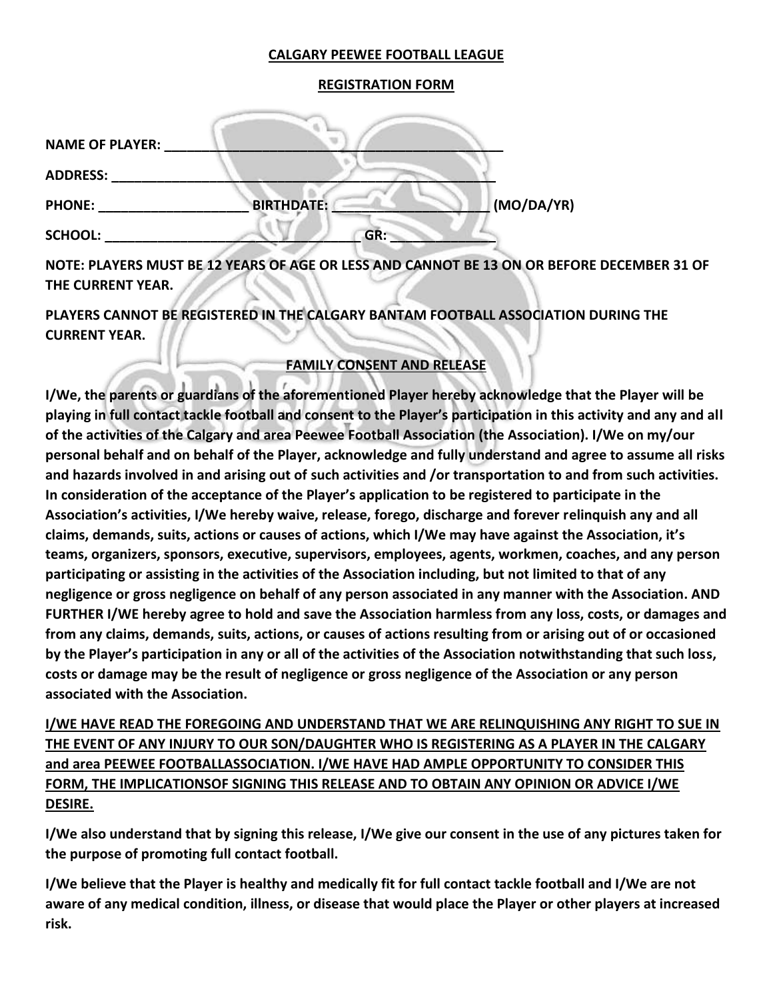## **CALGARY PEEWEE FOOTBALL LEAGUE**

### **REGISTRATION FORM**

| <b>NAME OF PLAYER:</b> |                   |            |
|------------------------|-------------------|------------|
| <b>ADDRESS:</b>        |                   |            |
| <b>PHONE:</b>          | <b>BIRTHDATE:</b> | (MO/DA/YR) |
| <b>SCHOOL:</b>         | GR:               |            |

**NOTE: PLAYERS MUST BE 12 YEARS OF AGE OR LESS AND CANNOT BE 13 ON OR BEFORE DECEMBER 31 OF THE CURRENT YEAR.** 

**PLAYERS CANNOT BE REGISTERED IN THE CALGARY BANTAM FOOTBALL ASSOCIATION DURING THE CURRENT YEAR.** 

# **FAMILY CONSENT AND RELEASE**

**I/We, the parents or guardians of the aforementioned Player hereby acknowledge that the Player will be playing in full contact tackle football and consent to the Player's participation in this activity and any and all of the activities of the Calgary and area Peewee Football Association (the Association). I/We on my/our personal behalf and on behalf of the Player, acknowledge and fully understand and agree to assume all risks and hazards involved in and arising out of such activities and /or transportation to and from such activities. In consideration of the acceptance of the Player's application to be registered to participate in the Association's activities, I/We hereby waive, release, forego, discharge and forever relinquish any and all claims, demands, suits, actions or causes of actions, which I/We may have against the Association, it's teams, organizers, sponsors, executive, supervisors, employees, agents, workmen, coaches, and any person participating or assisting in the activities of the Association including, but not limited to that of any negligence or gross negligence on behalf of any person associated in any manner with the Association. AND FURTHER I/WE hereby agree to hold and save the Association harmless from any loss, costs, or damages and from any claims, demands, suits, actions, or causes of actions resulting from or arising out of or occasioned by the Player's participation in any or all of the activities of the Association notwithstanding that such loss, costs or damage may be the result of negligence or gross negligence of the Association or any person associated with the Association.** 

**I/WE HAVE READ THE FOREGOING AND UNDERSTAND THAT WE ARE RELINQUISHING ANY RIGHT TO SUE IN THE EVENT OF ANY INJURY TO OUR SON/DAUGHTER WHO IS REGISTERING AS A PLAYER IN THE CALGARY and area PEEWEE FOOTBALLASSOCIATION. I/WE HAVE HAD AMPLE OPPORTUNITY TO CONSIDER THIS FORM, THE IMPLICATIONSOF SIGNING THIS RELEASE AND TO OBTAIN ANY OPINION OR ADVICE I/WE DESIRE.** 

**I/We also understand that by signing this release, I/We give our consent in the use of any pictures taken for the purpose of promoting full contact football.** 

**I/We believe that the Player is healthy and medically fit for full contact tackle football and I/We are not aware of any medical condition, illness, or disease that would place the Player or other players at increased risk.**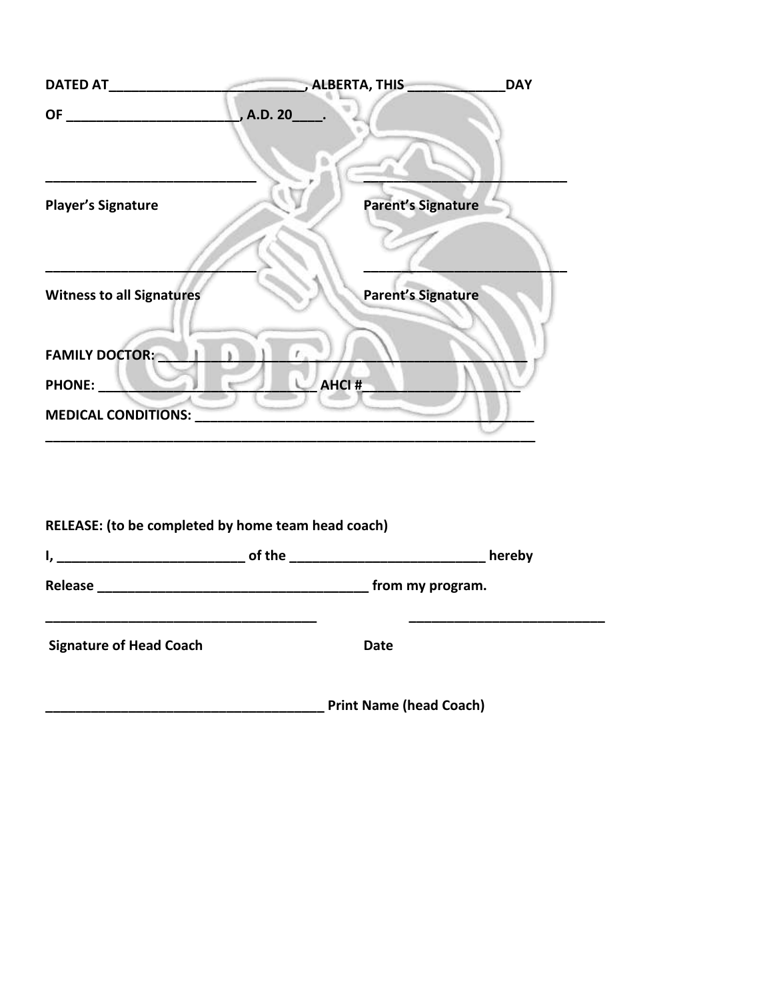| <b>DATED AT</b>                  | , ALBERTA, THIS           | <b>DAY</b> |
|----------------------------------|---------------------------|------------|
| <b>OF</b>                        | , A.D. 20_                |            |
| <b>Player's Signature</b>        | <b>Parent's Signature</b> |            |
| <b>Witness to all Signatures</b> | <b>Parent's Signature</b> |            |
| <b>FAMILY DOCTOR:</b>            |                           |            |
| PHONE:                           | <b>AHCI#</b>              |            |
| <b>MEDICAL CONDITIONS:</b>       |                           |            |

| RELEASE: (to be completed by home team head coach) |                                |        |
|----------------------------------------------------|--------------------------------|--------|
|                                                    |                                | hereby |
|                                                    |                                |        |
| <b>Signature of Head Coach</b>                     | Date                           |        |
|                                                    | <b>Print Name (head Coach)</b> |        |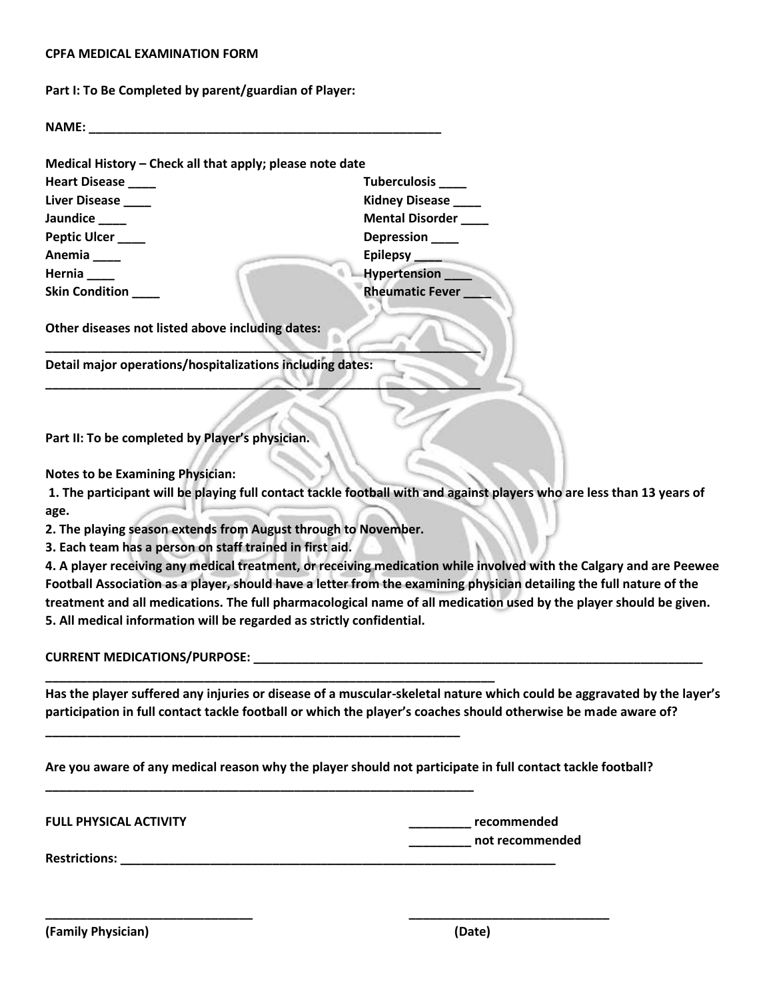#### **CPFA MEDICAL EXAMINATION FORM**

**Part I: To Be Completed by parent/guardian of Player:** 

**NAME:**  $\blacksquare$ 

| <b>Heart Disease</b>  | <b>Tuberculosis</b>        |
|-----------------------|----------------------------|
| Liver Disease         | <b>Kidney Disease</b>      |
| Jaundice              | <b>Mental Disorder</b>     |
| Peptic Ulcer ____     | Depression <sub>____</sub> |
| Anemia                | Epilepsy ____              |
| Hernia                | Hypertension __            |
| <b>Skin Condition</b> | <b>Rheumatic Fever</b>     |

**\_\_\_\_\_\_\_\_\_\_\_\_\_\_\_\_\_\_\_\_\_\_\_\_\_\_\_\_\_\_\_\_\_\_\_\_\_\_\_\_\_\_\_\_\_\_\_\_\_\_\_\_\_\_\_\_\_\_\_\_\_\_\_** 

**\_\_\_\_\_\_\_\_\_\_\_\_\_\_\_\_\_\_\_\_\_\_\_\_\_\_\_\_\_\_\_\_\_\_\_\_\_\_\_\_\_\_\_\_\_\_\_\_\_\_\_\_\_\_\_\_\_\_\_\_\_\_\_\_\_** 

**\_\_\_\_\_\_\_\_\_\_\_\_\_\_\_\_\_\_\_\_\_\_\_\_\_\_\_\_\_\_\_\_\_\_\_\_\_\_\_\_\_\_\_\_\_\_\_\_\_\_\_\_\_\_\_\_\_\_\_\_** 

**\_\_\_\_\_\_\_\_\_\_\_\_\_\_\_\_\_\_\_\_\_\_\_\_\_\_\_\_\_\_\_\_\_\_\_\_\_\_\_\_\_\_\_\_\_\_\_\_\_\_\_\_\_\_\_\_\_\_\_\_\_\_** 

**\_\_\_\_\_\_\_\_\_\_\_\_\_\_\_\_\_\_\_\_\_\_\_\_\_\_\_\_\_\_\_\_\_\_\_\_\_\_\_\_\_\_\_\_\_\_\_\_\_\_\_\_\_\_\_\_\_\_\_\_\_\_\_ Detail major operations/hospitalizations including dates:** 

**Part II: To be completed by Player's physician.** 

**Notes to be Examining Physician:**

**1. The participant will be playing full contact tackle football with and against players who are less than 13 years of age.** 

**2. The playing season extends from August through to November.** 

**3. Each team has a person on staff trained in first aid.** 

**4. A player receiving any medical treatment, or receiving medication while involved with the Calgary and are Peewee Football Association as a player, should have a letter from the examining physician detailing the full nature of the treatment and all medications. The full pharmacological name of all medication used by the player should be given. 5. All medical information will be regarded as strictly confidential.** 

**CURRENT MEDICATIONS/PURPOSE:** 

**Has the player suffered any injuries or disease of a muscular-skeletal nature which could be aggravated by the layer's participation in full contact tackle football or which the player's coaches should otherwise be made aware of?** 

**Are you aware of any medical reason why the player should not participate in full contact tackle football?** 

**\_\_\_\_\_\_\_\_\_\_\_\_\_\_\_\_\_\_\_\_\_\_\_\_\_\_\_\_\_\_ \_\_\_\_\_\_\_\_\_\_\_\_\_\_\_\_\_\_\_\_\_\_\_\_\_\_\_\_\_** 

**FULL PHYSICAL ACTIVITY \_\_\_\_\_\_\_\_\_ recommended** 

**Restrictions:**  $\blacksquare$ 

**\_\_\_\_\_\_\_\_\_ not recommended** 

**(Family Physician) (Date)**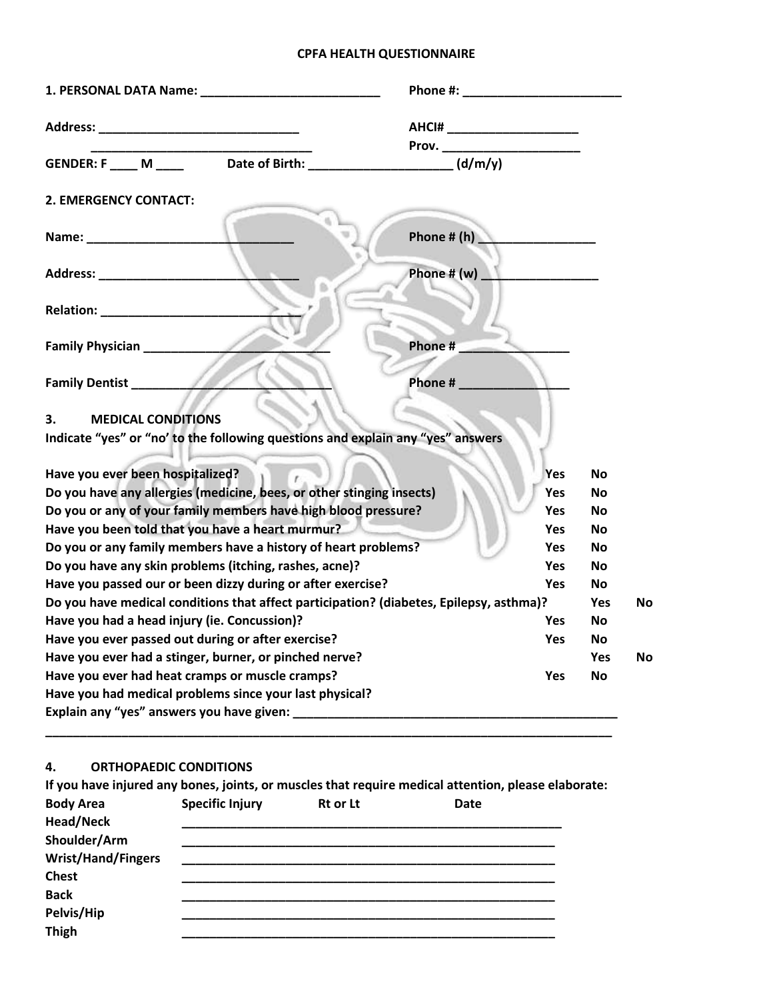# **CPFA HEALTH QUESTIONNAIRE**

|                                                                                         | AHCI# _________________________ |            |           |           |
|-----------------------------------------------------------------------------------------|---------------------------------|------------|-----------|-----------|
|                                                                                         |                                 |            |           |           |
| GENDER: F M                                                                             | Date of Birth: $\sqrt{(d/m/y)}$ |            |           |           |
| 2. EMERGENCY CONTACT:                                                                   |                                 |            |           |           |
|                                                                                         | Phone # $(h)$                   |            |           |           |
| Address: ________________________                                                       | Phone # $(w)$                   |            |           |           |
|                                                                                         |                                 |            |           |           |
| Family Physician ___________                                                            | Phone #                         |            |           |           |
| Family Dentist <sub>_________</sub>                                                     | Phone #                         |            |           |           |
| <b>MEDICAL CONDITIONS</b><br>З.                                                         |                                 |            |           |           |
| Indicate "yes" or "no' to the following questions and explain any "yes" answers         |                                 |            |           |           |
| Have you ever been hospitalized?                                                        |                                 | Yes        | <b>No</b> |           |
| Do you have any allergies (medicine, bees, or other stinging insects)                   |                                 | Yes        | <b>No</b> |           |
| Do you or any of your family members have high blood pressure?                          |                                 | <b>Yes</b> | <b>No</b> |           |
| Have you been told that you have a heart murmur?                                        |                                 | Yes        | <b>No</b> |           |
| Do you or any family members have a history of heart problems?                          |                                 | Yes        | <b>No</b> |           |
| Do you have any skin problems (itching, rashes, acne)?                                  |                                 | <b>Yes</b> | <b>No</b> |           |
| Have you passed our or been dizzy during or after exercise?                             |                                 | Yes        | <b>No</b> |           |
| Do you have medical conditions that affect participation? (diabetes, Epilepsy, asthma)? |                                 |            | Yes       | <b>No</b> |
| Have you had a head injury (ie. Concussion)?                                            |                                 | <b>Yes</b> | No        |           |
| Have you ever passed out during or after exercise?                                      |                                 | <b>Yes</b> | <b>No</b> |           |
| Have you ever had a stinger, burner, or pinched nerve?                                  |                                 |            | Yes       | <b>No</b> |
| Have you ever had heat cramps or muscle cramps?                                         |                                 | <b>Yes</b> | <b>No</b> |           |
| Have you had medical problems since your last physical?                                 |                                 |            |           |           |
|                                                                                         |                                 |            |           |           |
|                                                                                         |                                 |            |           |           |

## **4. ORTHOPAEDIC CONDITIONS**

|                           |                        |                 | If you have injured any bones, joints, or muscles that require medical attention, please elaborate: |  |
|---------------------------|------------------------|-----------------|-----------------------------------------------------------------------------------------------------|--|
| <b>Body Area</b>          | <b>Specific Injury</b> | <b>Rt or Lt</b> | Date                                                                                                |  |
| Head/Neck                 |                        |                 |                                                                                                     |  |
| Shoulder/Arm              |                        |                 |                                                                                                     |  |
| <b>Wrist/Hand/Fingers</b> |                        |                 |                                                                                                     |  |
| <b>Chest</b>              |                        |                 |                                                                                                     |  |
| <b>Back</b>               |                        |                 |                                                                                                     |  |
| Pelvis/Hip                |                        |                 |                                                                                                     |  |
| <b>Thigh</b>              |                        |                 |                                                                                                     |  |